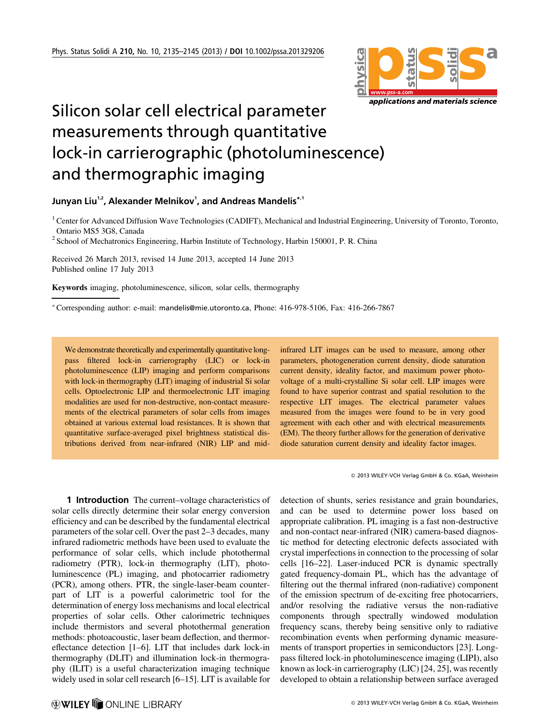

## Silicon solar cell electrical parameter measurements through quantitative lock-in carrierographic (photoluminescence) and thermographic imaging

Junyan Liu $^{\scriptscriptstyle 1,2}$ , Alexander Melnikov $^{\scriptscriptstyle 1}$ , and Andreas Mandelis $^{\ast,1}$ 

<sup>1</sup> Center for Advanced Diffusion Wave Technologies (CADIFT), Mechanical and Industrial Engineering, University of Toronto, Toronto, Ontario MS5 3G8, Canada

<sup>2</sup> School of Mechatronics Engineering, Harbin Institute of Technology, Harbin 150001, P. R. China

Received 26 March 2013, revised 14 June 2013, accepted 14 June 2013 Published online 17 July 2013

Keywords imaging, photoluminescence, silicon, solar cells, thermography

\*Corresponding author: e-mail: mandelis@mie.utoronto.ca, Phone: 416-978-5106, Fax: 416-266-7867

We demonstrate theoretically and experimentally quantitative longpass filtered lock-in carrierography (LIC) or lock-in photoluminescence (LIP) imaging and perform comparisons with lock-in thermography (LIT) imaging of industrial Si solar cells. Optoelectronic LIP and thermoelectronic LIT imaging modalities are used for non-destructive, non-contact measurements of the electrical parameters of solar cells from images obtained at various external load resistances. It is shown that quantitative surface-averaged pixel brightness statistical distributions derived from near-infrared (NIR) LIP and midinfrared LIT images can be used to measure, among other parameters, photogeneration current density, diode saturation current density, ideality factor, and maximum power photovoltage of a multi-crystalline Si solar cell. LIP images were found to have superior contrast and spatial resolution to the respective LIT images. The electrical parameter values measured from the images were found to be in very good agreement with each other and with electrical measurements (EM). The theory further allows for the generation of derivative diode saturation current density and ideality factor images.

2013 WILEY-VCH Verlag GmbH & Co. KGaA, Weinheim

1 **Introduction** The current–voltage characteristics of solar cells directly determine their solar energy conversion efficiency and can be described by the fundamental electrical parameters of the solar cell. Over the past 2–3 decades, many infrared radiometric methods have been used to evaluate the performance of solar cells, which include photothermal radiometry (PTR), lock-in thermography (LIT), photoluminescence (PL) imaging, and photocarrier radiometry (PCR), among others. PTR, the single-laser-beam counterpart of LIT is a powerful calorimetric tool for the determination of energy loss mechanisms and local electrical properties of solar cells. Other calorimetric techniques include thermistors and several photothermal generation methods: photoacoustic, laser beam deflection, and thermoreflectance detection [1–6]. LIT that includes dark lock-in thermography (DLIT) and illumination lock-in thermography (ILIT) is a useful characterization imaging technique widely used in solar cell research [6–15]. LIT is available for detection of shunts, series resistance and grain boundaries, and can be used to determine power loss based on appropriate calibration. PL imaging is a fast non-destructive and non-contact near-infrared (NIR) camera-based diagnostic method for detecting electronic defects associated with crystal imperfections in connection to the processing of solar cells [16–22]. Laser-induced PCR is dynamic spectrally gated frequency-domain PL, which has the advantage of filtering out the thermal infrared (non-radiative) component of the emission spectrum of de-exciting free photocarriers, and/or resolving the radiative versus the non-radiative components through spectrally windowed modulation frequency scans, thereby being sensitive only to radiative recombination events when performing dynamic measurements of transport properties in semiconductors [23]. Longpass filtered lock-in photoluminescence imaging (LIPI), also known as lock-in carrierography (LIC) [24, 25], was recently developed to obtain a relationship between surface averaged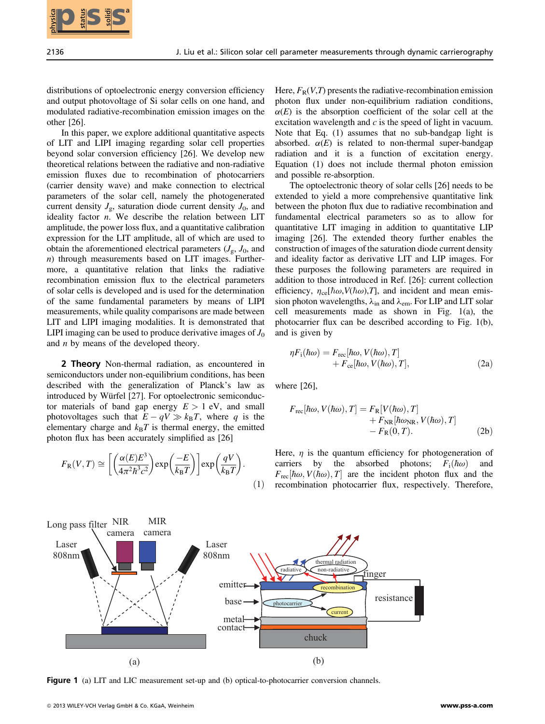distributions of optoelectronic energy conversion efficiency and output photovoltage of Si solar cells on one hand, and modulated radiative-recombination emission images on the other [26].

In this paper, we explore additional quantitative aspects of LIT and LIPI imaging regarding solar cell properties beyond solar conversion efficiency [26]. We develop new theoretical relations between the radiative and non-radiative emission fluxes due to recombination of photocarriers (carrier density wave) and make connection to electrical parameters of the solar cell, namely the photogenerated current density  $J_{\varrho}$ , saturation diode current density  $J_0$ , and ideality factor  $n$ . We describe the relation between LIT amplitude, the power loss flux, and a quantitative calibration expression for the LIT amplitude, all of which are used to obtain the aforementioned electrical parameters  $(J_{\rm g}, J_0, \text{ and})$ n) through measurements based on LIT images. Furthermore, a quantitative relation that links the radiative recombination emission flux to the electrical parameters of solar cells is developed and is used for the determination of the same fundamental parameters by means of LIPI measurements, while quality comparisons are made between LIT and LIPI imaging modalities. It is demonstrated that LIPI imaging can be used to produce derivative images of  $J_0$ and  $n$  by means of the developed theory.

2 Theory Non-thermal radiation, as encountered in semiconductors under non-equilibrium conditions, has been described with the generalization of Planck's law as introduced by Würfel [27]. For optoelectronic semiconductor materials of band gap energy  $E > 1$  eV, and small photovoltages such that  $E - qV \gg k_B T$ , where q is the elementary charge and  $k_B T$  is thermal energy the emitted elementary charge and  $k_BT$  is thermal energy, the emitted photon flux has been accurately simplified as [26]

$$
F_{\rm R}(V,T) \cong \left[ \left( \frac{\alpha(E)E^3}{4\pi^2 \hbar^3 c^2} \right) \exp\left( \frac{-E}{k_{\rm B}T} \right) \right] \exp\left( \frac{qV}{k_{\rm B}T} \right). \tag{1}
$$

Here,  $F_R(V,T)$  presents the radiative-recombination emission photon flux under non-equilibrium radiation conditions,  $\alpha(E)$  is the absorption coefficient of the solar cell at the excitation wavelength and  $c$  is the speed of light in vacuum. Note that Eq. (1) assumes that no sub-bandgap light is absorbed.  $\alpha(E)$  is related to non-thermal super-bandgap radiation and it is a function of excitation energy. Equation (1) does not include thermal photon emission and possible re-absorption.

The optoelectronic theory of solar cells [26] needs to be extended to yield a more comprehensive quantitative link between the photon flux due to radiative recombination and fundamental electrical parameters so as to allow for quantitative LIT imaging in addition to quantitative LIP imaging [26]. The extended theory further enables the construction of images of the saturation diode current density and ideality factor as derivative LIT and LIP images. For these purposes the following parameters are required in addition to those introduced in Ref. [26]: current collection efficiency,  $\eta_{ce}[\hbar\omega,V(\hbar\omega),T]$ , and incident and mean emission photon wavelengths,  $\lambda_{in}$  and  $\lambda_{em}$ . For LIP and LIT solar cell measurements made as shown in Fig. 1(a), the photocarrier flux can be described according to Fig. 1(b), and is given by

$$
\eta F_{\rm i}(\hbar\omega) = F_{\rm rec}[\hbar\omega, V(\hbar\omega), T] + F_{\rm ce}[\hbar\omega, V(\hbar\omega), T], \qquad (2a)
$$

where [26].

$$
F_{\text{rec}}[\hbar\omega, V(\hbar\omega), T] = F_{\text{R}}[V(\hbar\omega), T] + F_{\text{NR}}[\hbar\omega_{\text{NR}}, V(\hbar\omega), T] - F_{\text{R}}(0, T).
$$
 (2b)

Here,  $\eta$  is the quantum efficiency for photogeneration of carriers by the absorbed photons;  $F_i(\hbar\omega)$  and  $F_{\text{rec}}[\hbar\omega, V(\hbar\omega), T]$  are the incident photon flux and the recombination photocarrier flux, respectively. Therefore,



Figure 1 (a) LIT and LIC measurement set-up and (b) optical-to-photocarrier conversion channels.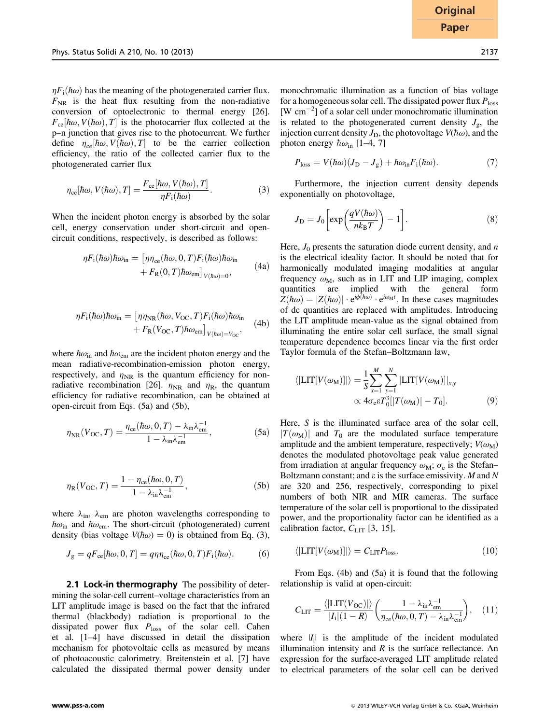$\eta F_i(\hbar\omega)$  has the meaning of the photogenerated carrier flux.  $F_{\text{NR}}$  is the heat flux resulting from the non-radiative conversion of optoelectronic to thermal energy [26].  $F_{ce}[\hbar\omega, V(\hbar\omega), T]$  is the photocarrier flux collected at the p–n junction that gives rise to the photocurrent. We further define  $\eta_{ce}[\hbar\omega, V(\hbar\omega), T]$  to be the carrier collection efficiency, the ratio of the collected carrier flux to the photogenerated carrier flux

$$
\eta_{ce}[\hbar\omega, V(\hbar\omega), T] = \frac{F_{ce}[\hbar\omega, V(\hbar\omega), T]}{\eta F_i(\hbar\omega)}.
$$
\n(3)

When the incident photon energy is absorbed by the solar cell, energy conservation under short-circuit and opencircuit conditions, respectively, is described as follows:

$$
\eta F_{\rm i}(\hbar\omega)\hbar\omega_{\rm in} = \left[\eta\eta_{\rm ce}(\hbar\omega, 0, T)F_{\rm i}(\hbar\omega)\hbar\omega_{\rm in} \right. \\ \left. + F_{\rm R}(0, T)\hbar\omega_{\rm em}\right]_{V(\hbar\omega)=0},\tag{4a}
$$

$$
\eta F_{\rm i}(\hbar\omega)\hbar\omega_{\rm in} = \left[\eta\eta_{\rm NR}(\hbar\omega,V_{\rm OC},T)F_{\rm i}(\hbar\omega)\hbar\omega_{\rm in} \right. \\ \left. + F_{\rm R}(V_{\rm OC},T)\hbar\omega_{\rm em}\right]_{V(\hbar\omega)=V_{\rm OC}},\tag{4b}
$$

where  $\hbar \omega_{\rm in}$  and  $\hbar \omega_{\rm em}$  are the incident photon energy and the mean radiative-recombination-emission photon energy, respectively, and  $\eta_{\text{NR}}$  is the quantum efficiency for nonradiative recombination [26].  $\eta_{\text{NR}}$  and  $\eta_{\text{R}}$ , the quantum efficiency for radiative recombination, can be obtained at open-circuit from Eqs. (5a) and (5b),

$$
\eta_{\rm NR}(V_{\rm OC}, T) = \frac{\eta_{\rm ce}(\hbar\omega, 0, T) - \lambda_{\rm in} \lambda_{\rm em}^{-1}}{1 - \lambda_{\rm in} \lambda_{\rm em}^{-1}},\tag{5a}
$$

$$
\eta_{\mathcal{R}}(V_{\mathcal{O}\mathcal{C}}, T) = \frac{1 - \eta_{\mathcal{C}\mathcal{C}}(\hbar\omega, 0, T)}{1 - \lambda_{\mathcal{R}} \lambda_{\mathcal{C}\mathcal{R}}^{-1}},\tag{5b}
$$

where  $\lambda_{\text{in}}$ ,  $\lambda_{\text{em}}$  are photon wavelengths corresponding to  $\hbar\omega_{\rm in}$  and  $\hbar\omega_{\rm em}$ . The short-circuit (photogenerated) current density (bias voltage  $V(\hbar \omega) = 0$ ) is obtained from Eq. (3),

$$
J_{\rm g} = qF_{\rm ce}[\hbar\omega, 0, T] = q\eta\eta_{\rm ce}(\hbar\omega, 0, T)F_{\rm i}(\hbar\omega). \tag{6}
$$

2.1 Lock-in thermography The possibility of determining the solar-cell current–voltage characteristics from an LIT amplitude image is based on the fact that the infrared thermal (blackbody) radiation is proportional to the dissipated power flux  $P_{\text{loss}}$  of the solar cell. Cahen et al. [1–4] have discussed in detail the dissipation mechanism for photovoltaic cells as measured by means of photoacoustic calorimetry. Breitenstein et al. [7] have calculated the dissipated thermal power density under monochromatic illumination as a function of bias voltage for a homogeneous solar cell. The dissipated power flux  $P_{\text{loss}}$  $[W \text{ cm}^{-2}]$  of a solar cell under monochromatic illumination is related to the photogenerated current density  $J_{\sigma}$ , the injection current density  $J_{\text{D}}$ , the photovoltage  $V(\hbar\omega)$ , and the photon energy  $\hbar\omega_{\rm in}$  [1–4, 7]

$$
P_{\text{loss}} = V(\hbar\omega)(J_{\text{D}} - J_{\text{g}}) + \hbar\omega_{\text{in}}F_{\text{i}}(\hbar\omega). \tag{7}
$$

Furthermore, the injection current density depends exponentially on photovoltage,

$$
J_{\rm D} = J_0 \left[ \exp\left(\frac{qV(\hbar\omega)}{nk_{\rm B}T}\right) - 1 \right].
$$
 (8)

Here,  $J_0$  presents the saturation diode current density, and n is the electrical ideality factor. It should be noted that for harmonically modulated imaging modalities at angular frequency  $\omega_M$ , such as in LIT and LIP imaging, complex quantities are implied with the general form  $Z(\hbar\omega) = |Z(\hbar\omega)| \cdot e^{i\phi(\hbar\omega)} \cdot e^{i\omega_M t}$ . In these cases magnitudes of dc quantities are replaced with amplitudes Introducing of dc quantities are replaced with amplitudes. Introducing the LIT amplitude mean-value as the signal obtained from illuminating the entire solar cell surface, the small signal temperature dependence becomes linear via the first order Taylor formula of the Stefan–Boltzmann law,

$$
\langle \left| \text{LIT}[V(\omega_M)] \right| \rangle = \frac{1}{S} \sum_{x=1}^{M} \sum_{y=1}^{N} \left| \text{LIT}[V(\omega_M)] \right|_{x,y} \propto 4\sigma_{\text{e}} \varepsilon T_0^3 \left| |T(\omega_M)| - T_0 \right].
$$
\n(9)

Here, S is the illuminated surface area of the solar cell,  $|T(\omega_M)|$  and  $T_0$  are the modulated surface temperature amplitude and the ambient temperature, respectively;  $V(\omega_M)$ denotes the modulated photovoltage peak value generated from irradiation at angular frequency  $\omega_{\rm M}$ ;  $\sigma_{\rm e}$  is the Stefan– Boltzmann constant; and  $\varepsilon$  is the surface emissivity. M and N are 320 and 256, respectively, corresponding to pixel numbers of both NIR and MIR cameras. The surface temperature of the solar cell is proportional to the dissipated power, and the proportionality factor can be identified as a calibration factor,  $C_{\text{LIT}}$  [3, 15],

$$
\langle \left| \text{LIT}[V(\omega_M)] \right| \rangle = C_{\text{LIT}} P_{\text{loss}}.
$$
 (10)

From Eqs. (4b) and (5a) it is found that the following relationship is valid at open-circuit:

$$
C_{\text{LIT}} = \frac{\langle |\text{LIT}(V_{\text{OC}})| \rangle}{|I_{\text{i}}|(1-R)} \left( \frac{1 - \lambda_{\text{in}} \lambda_{\text{em}}^{-1}}{\eta_{\text{ce}}(\hbar \omega, 0, T) - \lambda_{\text{in}} \lambda_{\text{em}}^{-1}} \right), \quad (11)
$$

where  $|I_i|$  is the amplitude of the incident modulated illumination intensity and  $R$  is the surface reflectance. An expression for the surface-averaged LIT amplitude related to electrical parameters of the solar cell can be derived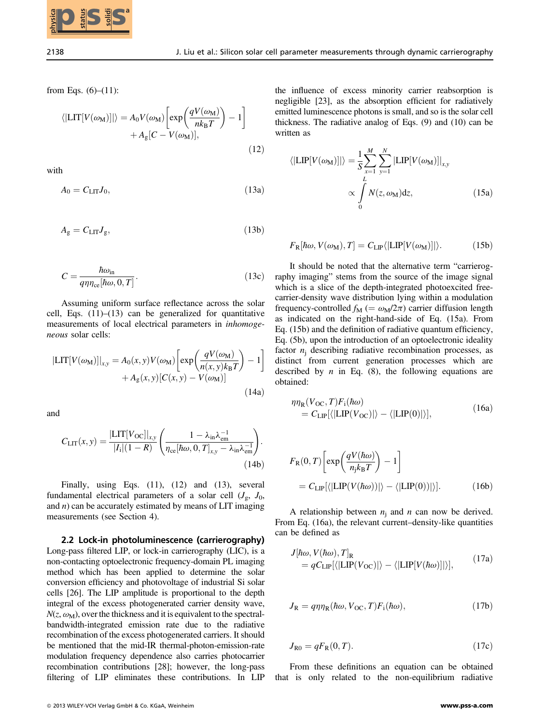

from Eqs.  $(6)–(11)$ :

$$
\langle \left| \text{LIT}[V(\omega_M)] \right| \rangle = A_0 V(\omega_M) \left[ \exp \left( \frac{q V(\omega_M)}{n k_B T} \right) - 1 \right] + A_g [C - V(\omega_M)], \tag{12}
$$

with

$$
A_0 = C_{\text{LIT}} J_0,\tag{13a}
$$

$$
A_{\rm g} = C_{\rm LIT} J_{\rm g},\tag{13b}
$$

$$
C = \frac{\hbar \omega_{\rm in}}{q \eta \eta_{\rm ce} [\hbar \omega, 0, T]}.
$$
\n(13c)

Assuming uniform surface reflectance across the solar cell, Eqs.  $(11)$ – $(13)$  can be generalized for quantitative measurements of local electrical parameters in inhomogeneous solar cells:

$$
|\text{LIT}[V(\omega_M)]|_{x,y} = A_0(x, y)V(\omega_M)\left[\exp\left(\frac{qV(\omega_M)}{n(x, y)k_BT}\right) - 1\right] + A_g(x, y)[C(x, y) - V(\omega_M)]\tag{14a}
$$

and

$$
C_{\text{LIT}}(x, y) = \frac{|\text{LIT}[V_{\text{OC}}]|_{x, y}}{|I_i|(1 - R)} \left( \frac{1 - \lambda_{\text{in}} \lambda_{\text{em}}^{-1}}{\eta_{\text{ce}}[\hbar \omega, 0, T]_{x, y} - \lambda_{\text{in}} \lambda_{\text{em}}^{-1}} \right). \tag{14b}
$$

Finally, using Eqs.  $(11)$ ,  $(12)$  and  $(13)$ , several fundamental electrical parameters of a solar cell  $(J_{\rm g}, J_0,$ and  $n$ ) can be accurately estimated by means of LIT imaging measurements (see Section 4).

2.2 Lock-in photoluminescence (carrierography) Long-pass filtered LIP, or lock-in carrierography (LIC), is a non-contacting optoelectronic frequency-domain PL imaging method which has been applied to determine the solar conversion efficiency and photovoltage of industrial Si solar cells [26]. The LIP amplitude is proportional to the depth integral of the excess photogenerated carrier density wave,  $N(z, \omega_M)$ , over the thickness and it is equivalent to the spectralbandwidth-integrated emission rate due to the radiative recombination of the excess photogenerated carriers. It should be mentioned that the mid-IR thermal-photon-emission-rate modulation frequency dependence also carries photocarrier recombination contributions [28]; however, the long-pass filtering of LIP eliminates these contributions. In LIP **2013 WILEY-VERTIFY CONTINUOS** CONTINUOS (TRIPPIC) (TVI)  $\frac{\hbar \omega}{\omega} = \frac{\hbar \omega}{2}$  (TVI)  $\frac{\hbar \omega}{\omega} = \frac{\hbar \omega}{2}$  (TVI)  $\frac{\hbar \omega}{\omega} = \frac{\hbar \omega}{2}$  (TVI)  $\frac{\hbar \omega}{\omega} = \frac{\hbar \omega}{2}$  (TVI)  $\frac{\hbar \omega}{\omega} = \frac{\hbar \omega}{2}$  (TVI)  $\frac{\hbar \omega}{$ 

the influence of excess minority carrier reabsorption is negligible [23], as the absorption efficient for radiatively emitted luminescence photons is small, and so is the solar cell thickness. The radiative analog of Eqs. (9) and (10) can be written as

$$
\langle |\text{LIP}[V(\omega_M)]| \rangle = \frac{1}{S} \sum_{x=1}^{M} \sum_{y=1}^{N} |\text{LIP}[V(\omega_M)]|_{x,y}
$$

$$
\propto \int_{0}^{L} N(z, \omega_M) dz,
$$
(15a)

$$
F_{\rm R}[\hbar\omega, V(\omega_{\rm M}), T] = C_{\rm LIP} \langle |{\rm LIP}[V(\omega_{\rm M})]| \rangle.
$$
 (15b)

It should be noted that the alternative term "carrierography imaging" stems from the source of the image signal which is a slice of the depth-integrated photoexcited freecarrier-density wave distribution lying within a modulation frequency-controlled  $f_{\rm M}$  (=  $\omega_{\rm M}/2\pi$ ) carrier diffusion length as indicated on the right-hand-side of Eq. (15a). From Eq. (15b) and the definition of radiative quantum efficiency, Eq. (5b), upon the introduction of an optoelectronic ideality factor  $n_i$  describing radiative recombination processes, as distinct from current generation processes which are described by *n* in Eq. (8), the following equations are obtained:

$$
\eta \eta_{\mathcal{R}}(V_{\text{OC}}, T) F_i(\hbar \omega)
$$
  
=  $C_{\text{LIP}}[\langle |\text{LIP}(V_{\text{OC}})| \rangle - \langle |\text{LIP}(0)| \rangle],$  (16a)

$$
F_{\rm R}(0,T)\left[\exp\left(\frac{qV(\hbar\omega)}{n_{\rm j}k_{\rm B}T}\right)-1\right]
$$
  
=  $C_{\rm LIP}[\langle|\text{LIP}(V(\hbar\omega))|\rangle-\langle|\text{LIP}(0))|\rangle].$  (16b)

A relationship between  $n_i$  and n can now be derived. From Eq. (16a), the relevant current–density-like quantities can be defined as

$$
J[\hbar\omega, V(\hbar\omega), T]_{\text{R}}= qC_{\text{LIP}}[\langle |\text{LIP}(V_{\text{OC}})| \rangle - \langle |\text{LIP}[V(\hbar\omega)]| \rangle],
$$
(17a)

$$
J_{\rm R} = q\eta\eta_{\rm R}(\hbar\omega, V_{\rm OC}, T)F_{\rm i}(\hbar\omega),\tag{17b}
$$

$$
J_{\rm R0} = qF_{\rm R}(0, T). \tag{17c}
$$

From these definitions an equation can be obtained that is only related to the non-equilibrium radiative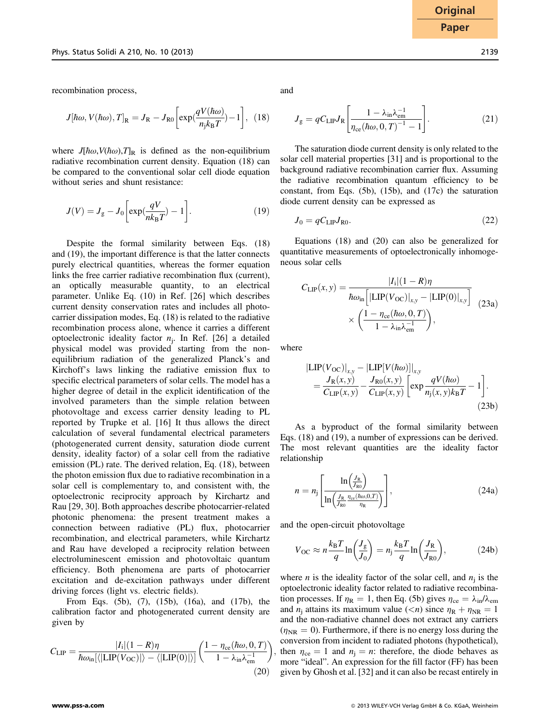recombination process,

$$
J[\hbar\omega, V(\hbar\omega), T]_{\text{R}} = J_{\text{R}} - J_{\text{R0}} \left[ \exp(\frac{qV(\hbar\omega)}{n_{\text{j}}k_{\text{B}}T}) - 1 \right], (18)
$$

where  $J[\hbar\omega, V(\hbar\omega),T]_{\text{R}}$  is defined as the non-equilibrium radiative recombination current density. Equation (18) can be compared to the conventional solar cell diode equation without series and shunt resistance:

$$
J(V) = J_{\rm g} - J_0 \left[ \exp(\frac{qV}{nk_{\rm B}T}) - 1 \right]. \tag{19}
$$

Despite the formal similarity between Eqs. (18) and (19), the important difference is that the latter connects purely electrical quantities, whereas the former equation links the free carrier radiative recombination flux (current), an optically measurable quantity, to an electrical parameter. Unlike Eq. (10) in Ref. [26] which describes current density conservation rates and includes all photocarrier dissipation modes, Eq. (18) is related to the radiative recombination process alone, whence it carries a different optoelectronic ideality factor  $n_i$ . In Ref. [26] a detailed physical model was provided starting from the nonequilibrium radiation of the generalized Planck's and Kirchoff's laws linking the radiative emission flux to specific electrical parameters of solar cells. The model has a higher degree of detail in the explicit identification of the involved parameters than the simple relation between photovoltage and excess carrier density leading to PL reported by Trupke et al. [16] It thus allows the direct calculation of several fundamental electrical parameters (photogenerated current density, saturation diode current density, ideality factor) of a solar cell from the radiative emission (PL) rate. The derived relation, Eq. (18), between the photon emission flux due to radiative recombination in a solar cell is complementary to, and consistent with, the optoelectronic reciprocity approach by Kirchartz and Rau [29, 30]. Both approaches describe photocarrier-related photonic phenomena: the present treatment makes a connection between radiative (PL) flux, photocarrier recombination, and electrical parameters, while Kirchartz and Rau have developed a reciprocity relation between electroluminescent emission and photovoltaic quantum efficiency. Both phenomena are parts of photocarrier excitation and de-excitation pathways under different driving forces (light vs. electric fields).

From Eqs. (5b), (7), (15b), (16a), and (17b), the calibration factor and photogenerated current density are given by

$$
C_{\rm LIP} = \frac{|I_{\rm i}|(1 - R)\eta}{\hbar\omega_{\rm in}[\langle|\text{LIP}(V_{\rm OC})|\rangle - \langle|\text{LIP}(0)|\rangle]} \left(\frac{1 - \eta_{\rm ce}(\hbar\omega, 0, T)}{1 - \lambda_{\rm in}\lambda_{\rm en}^{-1}}\right),\tag{20}
$$

and

$$
J_{\rm g} = qC_{\rm LIP}J_{\rm R}\left[\frac{1-\lambda_{\rm in}\lambda_{\rm em}^{-1}}{\eta_{\rm ce}(\hbar\omega, 0, T)^{-1} - 1}\right].\tag{21}
$$

The saturation diode current density is only related to the solar cell material properties [31] and is proportional to the background radiative recombination carrier flux. Assuming the radiative recombination quantum efficiency to be constant, from Eqs. (5b), (15b), and (17c) the saturation diode current density can be expressed as

$$
J_0 = qC_{\text{LIP}}J_{\text{R0}}.\tag{22}
$$

Equations (18) and (20) can also be generalized for quantitative measurements of optoelectronically inhomogeneous solar cells

$$
C_{\text{LIP}}(x, y) = \frac{|I_i|(1 - R)\eta}{\hbar\omega_{\text{in}}\left[|\text{LIP}(V_{\text{OC}})|_{x, y} - |\text{LIP}(0)|_{x, y}\right]} \times \left(\frac{1 - \eta_{\text{ce}}(\hbar\omega, 0, T)}{1 - \lambda_{\text{in}}\lambda_{\text{em}}^{-1}}\right),
$$
(23a)

where

$$
\left|\text{LIP}(V_{\text{OC}})\right|_{x,y} - \left|\text{LIP}[V(\hbar\omega)]\right|_{x,y} \n= \frac{J_{\text{R}}(x,y)}{C_{\text{LIP}}(x,y)} - \frac{J_{\text{R0}}(x,y)}{C_{\text{LIP}}(x,y)} \left[\exp{\frac{qV(\hbar\omega)}{n_j(x,y)k_{\text{B}}T}} - 1\right].
$$
\n(23b)

As a byproduct of the formal similarity between Eqs. (18) and (19), a number of expressions can be derived. The most relevant quantities are the ideality factor relationship

$$
n = n_{\rm j} \left[ \frac{\ln \left( \frac{J_{\rm R}}{J_{\rm R0}} \right)}{\ln \left( \frac{J_{\rm R}}{J_{\rm R0}} \frac{\eta_{\rm ce}(\hbar \omega, 0, T)}{\eta_{\rm R}} \right)} \right],\tag{24a}
$$

and the open-circuit photovoltage

$$
V_{\text{OC}} \approx n \frac{k_{\text{B}}T}{q} \ln \left( \frac{J_{\text{g}}}{J_0} \right) = n_{\text{j}} \frac{k_{\text{B}}T}{q} \ln \left( \frac{J_{\text{R}}}{J_{\text{R}0}} \right), \tag{24b}
$$

where *n* is the ideality factor of the solar cell, and  $n_i$  is the optoelectronic ideality factor related to radiative recombination processes. If  $\eta_R = 1$ , then Eq. (5b) gives  $\eta_{ce} = \lambda_{in}/\lambda_{em}$ and  $n_i$  attains its maximum value  $(*n*)$  since  $n_R + n_{NR} = 1$ and the non-radiative channel does not extract any carriers  $(\eta_{\text{NR}} = 0)$ . Furthermore, if there is no energy loss during the conversion from incident to radiated photons (hypothetical), then  $\eta_{ce} = 1$  and  $n_i = n$ : therefore, the diode behaves as more "ideal". An expression for the fill factor (FF) has been given by Ghosh et al. [32] and it can also be recast entirely in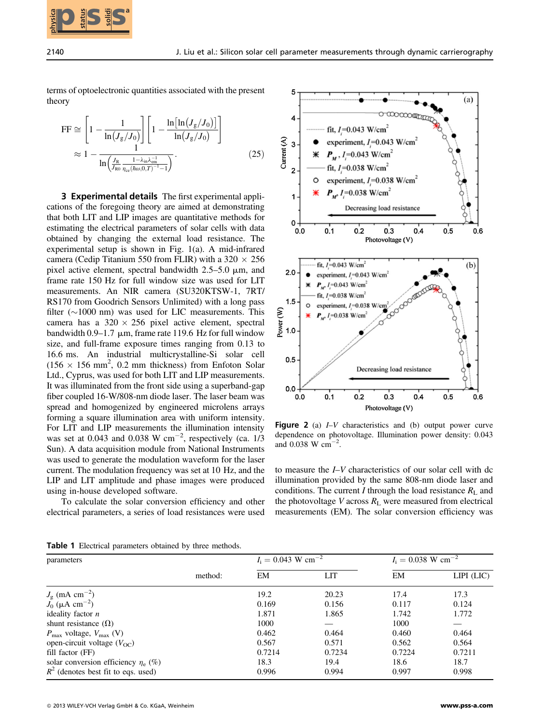

terms of optoelectronic quantities associated with the present theory

$$
\begin{split} \text{FF} &\cong \left[1 - \frac{1}{\ln\left(J_{\rm g}/J_0\right)}\right] \left[1 - \frac{\ln\left[\ln\left(J_{\rm g}/J_0\right)\right]}{\ln\left(J_{\rm g}/J_0\right)}\right] \\ &\approx 1 - \frac{1}{\ln\left(\frac{J_{\rm R}}{J_{\rm R0}} \frac{1 - \lambda_{\rm in} \lambda_{\rm cm}^{-1}}{\eta_{\rm ce}(\hbar \omega, 0, T)^{-1} - 1}\right)} . \end{split} \tag{25}
$$

3 Experimental details The first experimental applications of the foregoing theory are aimed at demonstrating that both LIT and LIP images are quantitative methods for estimating the electrical parameters of solar cells with data obtained by changing the external load resistance. The experimental setup is shown in Fig. 1(a). A mid-infrared camera (Cedip Titanium 550 from FLIR) with a 320  $\times$  256 pixel active element, spectral bandwidth  $2.5-5.0 \mu m$ , and frame rate 150 Hz for full window size was used for LIT measurements. An NIR camera (SU320KTSW-1, 7RT/ RS170 from Goodrich Sensors Unlimited) with a long pass filter  $(\sim 1000 \text{ nm})$  was used for LIC measurements. This camera has a  $320 \times 256$  pixel active element, spectral bandwidth  $0.9-1.7 \mu m$ , frame rate 119.6 Hz for full window size, and full-frame exposure times ranging from 0.13 to 16.6 ms. An industrial multicrystalline-Si solar cell  $(156 \times 156 \text{ mm}^2, 0.2 \text{ mm}$  thickness) from Enfoton Solar Ltd., Cyprus, was used for both LIT and LIP measurements. It was illuminated from the front side using a superband-gap fiber coupled 16-W/808-nm diode laser. The laser beam was spread and homogenized by engineered microlens arrays forming a square illumination area with uniform intensity. For LIT and LIP measurements the illumination intensity was set at 0.043 and 0.038 W  $cm^{-2}$ , respectively (ca. 1/3) Sun). A data acquisition module from National Instruments was used to generate the modulation waveform for the laser current. The modulation frequency was set at 10 Hz, and the LIP and LIT amplitude and phase images were produced using in-house developed software.

To calculate the solar conversion efficiency and other electrical parameters, a series of load resistances were used



Figure 2 (a) *I–V* characteristics and (b) output power curve dependence on photovoltage. Illumination power density: 0.043 and 0.038 W  $\rm cm^{-2}$ .

to measure the I–V characteristics of our solar cell with dc illumination provided by the same 808-nm diode laser and conditions. The current I through the load resistance  $R_L$  and the photovoltage V across  $R_L$  were measured from electrical measurements (EM). The solar conversion efficiency was

|  | Table 1 Electrical parameters obtained by three methods. |  |  |
|--|----------------------------------------------------------|--|--|
|  |                                                          |  |  |

| parameters                                     |         | $I_i = 0.043$ W cm <sup>-2</sup> |        | $I_i = 0.038$ W cm <sup>-2</sup> |                  |
|------------------------------------------------|---------|----------------------------------|--------|----------------------------------|------------------|
|                                                | method: | EM                               | LIT    | EM                               | $LIPI$ ( $LIC$ ) |
| $J_{\rm g}$ (mA cm <sup>-2</sup> )             |         | 19.2                             | 20.23  | 17.4                             | 17.3             |
| $J_0$ ( $\mu$ A cm <sup>-2</sup> )             |         | 0.169                            | 0.156  | 0.117                            | 0.124            |
| ideality factor $n$                            |         | 1.871                            | 1.865  | 1.742                            | 1.772            |
| shunt resistance $(\Omega)$                    |         | 1000                             |        | 1000                             |                  |
| $P_{\text{max}}$ voltage, $V_{\text{max}}$ (V) |         | 0.462                            | 0.464  | 0.460                            | 0.464            |
| open-circuit voltage $(V_{\Omega C})$          |         | 0.567                            | 0.571  | 0.562                            | 0.564            |
| fill factor (FF)                               |         | 0.7214                           | 0.7234 | 0.7224                           | 0.7211           |
| solar conversion efficiency $\eta_e$ (%)       |         | 18.3                             | 19.4   | 18.6                             | 18.7             |
| $R^2$ (denotes best fit to eqs. used)          |         | 0.996                            | 0.994  | 0.997                            | 0.998            |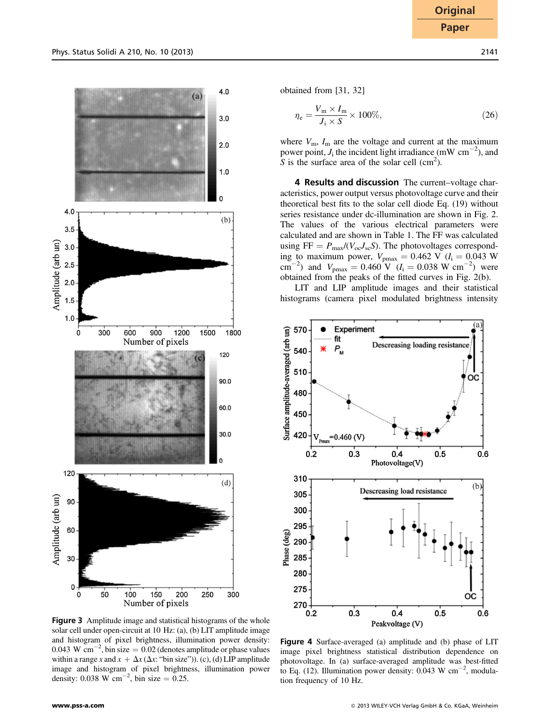

$$
\eta_{\rm e} = \frac{V_{\rm m} \times I_{\rm m}}{J_{\rm i} \times S} \times 100\%,\tag{26}
$$

where  $V_{\text{m}}$ ,  $I_{\text{m}}$  are the voltage and current at the maximum power point,  $J_i$  the incident light irradiance (mW cm<sup>-2</sup>), and  $S$  is the surface area of the solar cell (cm<sup>2</sup>) S is the surface area of the solar cell  $\text{(cm}^2)$ .

4 Results and discussion The current–voltage characteristics, power output versus photovoltage curve and their theoretical best fits to the solar cell diode Eq. (19) without series resistance under dc-illumination are shown in Fig. 2. The values of the various electrical parameters were calculated and are shown in Table 1. The FF was calculated using  $FF = P_{\text{max}}/(V_{\text{oc}}J_{\text{sc}}S)$ . The photovoltages corresponding to maximum power,  $V_{\text{pmax}} = 0.462 \text{ V}$  ( $I_i = 0.043 \text{ W}$ <br>cm<sup>-2</sup>) and  $V_{\text{pmax}} = 0.460 \text{ V}$  ( $I_i = 0.038 \text{ W cm}^{-2}$ ) were<br>obtained from the peaks of the fitted curves in Fig. 2(b) obtained from the peaks of the fitted curves in Fig. 2(b).

LIT and LIP amplitude images and their statistical histograms (camera pixel modulated brightness intensity



Figure 3 Amplitude image and statistical histograms of the whole solar cell under open-circuit at 10 Hz: (a), (b) LIT amplitude image and histogram of pixel brightness, illumination power density: 0.043 W  $\text{cm}^{-2}$ , bin size = 0.02 (denotes amplitude or phase values within a range x and  $x + \Delta x$  ( $\Delta x$ : "bin size")). (c), (d) LIP amplitude image and histogram of pixel brightness, illumination power density: 0.038 W cm<sup>-2</sup>, bin size = 0.25.

Figure 4 Surface-averaged (a) amplitude and (b) phase of LIT image pixel brightness statistical distribution dependence on photovoltage. In (a) surface-averaged amplitude was best-fitted to Eq. (12). Illumination power density:  $0.043 \text{ W cm}^{-2}$ , modulation frequency of 10 Hz.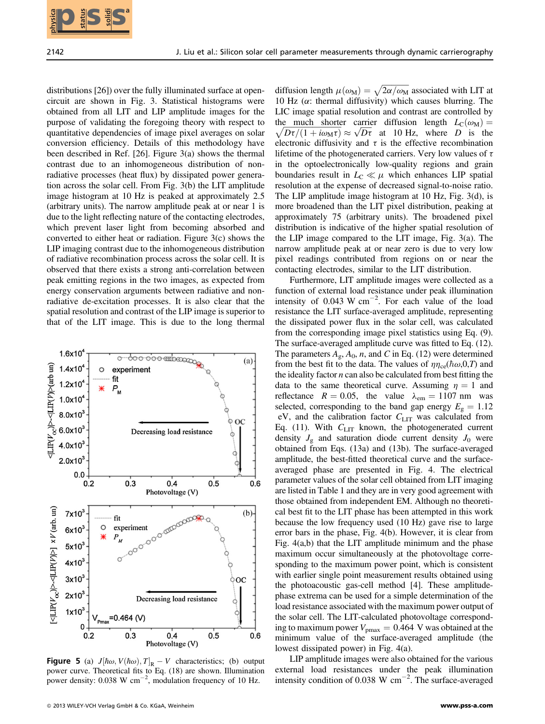distributions [26]) over the fully illuminated surface at opencircuit are shown in Fig. 3. Statistical histograms were obtained from all LIT and LIP amplitude images for the purpose of validating the foregoing theory with respect to quantitative dependencies of image pixel averages on solar conversion efficiency. Details of this methodology have been described in Ref. [26]. Figure 3(a) shows the thermal contrast due to an inhomogeneous distribution of nonradiative processes (heat flux) by dissipated power generation across the solar cell. From Fig. 3(b) the LIT amplitude image histogram at 10 Hz is peaked at approximately 2.5 (arbitrary units). The narrow amplitude peak at or near 1 is due to the light reflecting nature of the contacting electrodes, which prevent laser light from becoming absorbed and converted to either heat or radiation. Figure 3(c) shows the LIP imaging contrast due to the inhomogeneous distribution of radiative recombination process across the solar cell. It is observed that there exists a strong anti-correlation between peak emitting regions in the two images, as expected from energy conservation arguments between radiative and nonradiative de-excitation processes. It is also clear that the spatial resolution and contrast of the LIP image is superior to that of the LIT image. This is due to the long thermal



**Figure 5** (a)  $J[\hbar\omega, V(\hbar\omega), T]_{\mathbb{R}} - V$  characteristics; (b) output power curve. Theoretical fits to Eq. (18) are shown. Illumination power density:  $0.038 \text{ W cm}^{-2}$ , modulation frequency of 10 Hz.

diffusion length  $\mu(\omega_M) = \sqrt{2\alpha/\omega_M}$  associated with LIT at 10 Hz ( $\alpha$ : thermal diffusivity) which causes blurring. The LIC image spatial resolution and contrast are controlled by the much shorter carrier diffusion length  $L_{\text{C}}(\omega_{\text{M}})$  = forthe much shorter carrier diffusion length  $L_C(\omega_M) = D\tau/(1 + i\omega_M\tau) \approx \sqrt{D\tau}$  at 10 Hz, where D is the  $\sqrt{Dt/(1+i\omega_M\tau)} \approx \sqrt{Dt}$  at 10 Hz, where D is the<br>electronic diffusivity and  $\tau$  is the effective recombination electronic diffusivity and  $\tau$  is the effective recombination lifetime of the photogenerated carriers. Very low values of  $\tau$ in the optoelectronically low-quality regions and grain boundaries result in  $L<sub>C</sub> \ll \mu$  which enhances LIP spatial resolution at the expense of decreased signal-to-noise ratio. The LIP amplitude image histogram at 10 Hz, Fig. 3(d), is more broadened than the LIT pixel distribution, peaking at approximately 75 (arbitrary units). The broadened pixel distribution is indicative of the higher spatial resolution of the LIP image compared to the LIT image, Fig. 3(a). The narrow amplitude peak at or near zero is due to very low pixel readings contributed from regions on or near the contacting electrodes, similar to the LIT distribution.

Furthermore, LIT amplitude images were collected as a function of external load resistance under peak illumination intensity of  $0.043 \text{ W cm}^{-2}$ . For each value of the load resistance the LIT surface-averaged amplitude, representing the dissipated power flux in the solar cell, was calculated from the corresponding image pixel statistics using Eq. (9). The surface-averaged amplitude curve was fitted to Eq. (12). The parameters  $A_g$ ,  $A_0$ , n, and C in Eq. (12) were determined from the best fit to the data. The values of  $\eta_{\text{rce}}(\hbar\omega,0,T)$  and the ideality factor  $n$  can also be calculated from best fitting the data to the same theoretical curve. Assuming  $\eta = 1$  and reflectance  $R = 0.05$ , the value  $\lambda_{em} = 1107$  nm was selected, corresponding to the band gap energy  $E_g = 1.12$ eV, and the calibration factor  $C_{\text{LIT}}$  was calculated from Eq. (11). With  $C_{\text{LIT}}$  known, the photogenerated current density  $J_{\rm g}$  and saturation diode current density  $J_0$  were obtained from Eqs. (13a) and (13b). The surface-averaged amplitude, the best-fitted theoretical curve and the surfaceaveraged phase are presented in Fig. 4. The electrical parameter values of the solar cell obtained from LIT imaging are listed in Table 1 and they are in very good agreement with those obtained from independent EM. Although no theoretical best fit to the LIT phase has been attempted in this work because the low frequency used (10 Hz) gave rise to large error bars in the phase, Fig. 4(b). However, it is clear from Fig. 4(a,b) that the LIT amplitude minimum and the phase maximum occur simultaneously at the photovoltage corresponding to the maximum power point, which is consistent with earlier single point measurement results obtained using the photoacoustic gas-cell method [4]. These amplitudephase extrema can be used for a simple determination of the load resistance associated with the maximum power output of the solar cell. The LIT-calculated photovoltage corresponding to maximum power  $V_{\text{pmax}} = 0.464$  V was obtained at the minimum value of the surface-averaged amplitude (the lowest dissipated power) in Fig. 4(a). **212 SSS<br>
2114 et al. 90 cm view of parenter measurement frough dynamic carriery and<br>the bottom (see Fig. 1990). It is easily the status of the control of the collection of the status of the collection of the collection o** 

LIP amplitude images were also obtained for the various external load resistances under the peak illumination intensity condition of 0.038 W  $\text{cm}^{-2}$ . The surface-averaged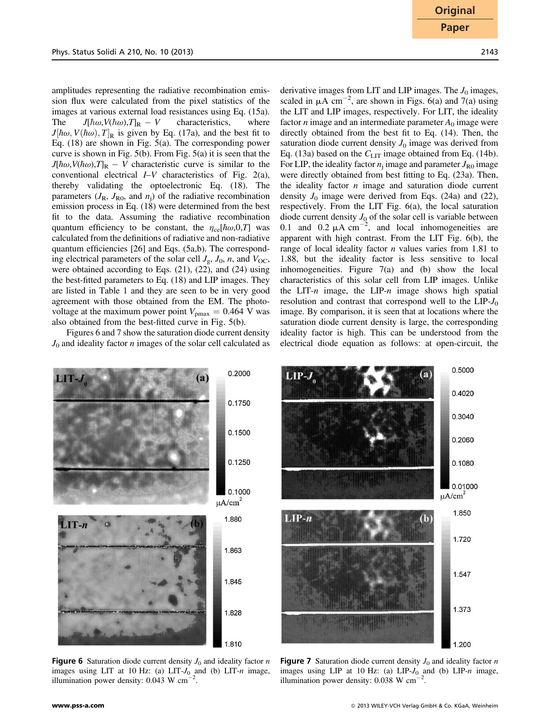amplitudes representing the radiative recombination emission flux were calculated from the pixel statistics of the images at various external load resistances using Eq. (15a). The  $J[\hbar\omega, V(\hbar\omega), T]_R - V$  characteristics, where  $J[\hbar\omega, V(\hbar\omega), T]_R$  is given by Eq. (17a) and the best fit to  $J[\hbar\omega, V(\hbar\omega), T]_{\text{R}}$  is given by Eq. (17a), and the best fit to Eq. (18) are shown in Fig. 5(a). The corresponding power Eq. (18) are shown in Fig. 5(a). The corresponding power curve is shown in Fig. 5(b). From Fig. 5(a) it is seen that the  $J[\hbar\omega,V(\hbar\omega),T]_{\text{R}} - V$  characteristic curve is similar to the conventional electrical I–V characteristics of Fig. 2(a), thereby validating the optoelectronic Eq. (18). The parameters  $(J_R, J_{R0}$ , and  $n_i$ ) of the radiative recombination emission process in Eq. (18) were determined from the best fit to the data. Assuming the radiative recombination quantum efficiency to be constant, the  $\eta_{ce}[\hbar\omega,0,T]$  was calculated from the definitions of radiative and non-radiative quantum efficiencies [26] and Eqs. (5a,b). The corresponding electrical parameters of the solar cell  $J_g$ ,  $J_0$ , n, and  $V_{OC}$ , were obtained according to Eqs. (21), (22), and (24) using the best-fitted parameters to Eq. (18) and LIP images. They are listed in Table 1 and they are seen to be in very good agreement with those obtained from the EM. The photovoltage at the maximum power point  $V_{\text{pmax}} = 0.464$  V was also obtained from the best-fitted curve in Fig. 5(b).

Figures 6 and 7 show the saturation diode current density

derivative images from LIT and LIP images. The  $J_0$  images, scaled in  $\mu A \text{ cm}^{-2}$ , are shown in Figs. 6(a) and 7(a) using the LIT and LIP images, respectively. For LIT, the ideality factor *n* image and an intermediate parameter  $A_0$  image were directly obtained from the best fit to Eq. (14). Then, the saturation diode current density  $J_0$  image was derived from Eq. (13a) based on the  $C_{\text{LIT}}$  image obtained from Eq. (14b). For LIP, the ideality factor  $n_i$  image and parameter  $J_{R0}$  image were directly obtained from best fitting to Eq. (23a). Then, the ideality factor  $n$  image and saturation diode current density  $J_0$  image were derived from Eqs. (24a) and (22), respectively. From the LIT Fig. 6(a), the local saturation diode current density  $J_0$  of the solar cell is variable between 0.1 and 0.2  $\mu$ A cm<sup>-2</sup>, and local inhomogeneities are apparent with high contrast. From the LIT Fig. 6(b), the range of local ideality factor  $n$  values varies from 1.81 to 1.88, but the ideality factor is less sensitive to local inhomogeneities. Figure 7(a) and (b) show the local characteristics of this solar cell from LIP images. Unlike the LIT-n image, the LIP-n image shows high spatial

resolution and contrast that correspond well to the  $LIP-J_0$ image. By comparison, it is seen that at locations where the saturation diode current density is large, the corresponding ideality factor is high. This can be understood from the electrical diode equation as follows: at open-circuit, the

 $J_0$  and ideality factor  $n$  images of the solar cell calculated as

 $\mu$ A/cm<sup>2</sup>

1.880

1.845

1.828

1.810

0.5000 0.2000 LIP-. 0.4020 0.1750 0.3040 0.1500 0.2060 0.1250 0.1080 0.01000 0.1000  $\mu$ A/cm<sup>2</sup> 1.850  $LIP-n$ 1.720 1.863 1.547 1.373 1.200

**Figure 6** Saturation diode current density  $J_0$  and ideality factor n images using LIT at 10 Hz: (a) LIT- $J_0$  and (b) LIT-n image, illumination power density:  $0.043 \text{ W cm}^{-1}$ .

**Figure 7** Saturation diode current density  $J_0$  and ideality factor n images using LIP at 10 Hz: (a) LIP- $J_0$  and (b) LIP-n image, illumination power density:  $0.038$  W cm<sup>-2</sup> .

 $LT - n$ 

**Original Paper**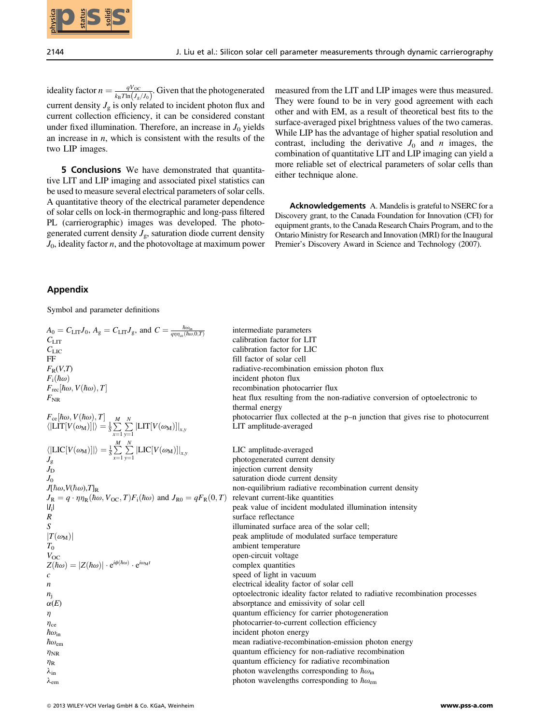

ideality factor  $n = \frac{qV_{\text{OC}}}{k_B T \ln(J_g/J_0)}$ . Given that the photogenerated current density  $J_g$  is only related to incident photon flux and current collection efficiency, it can be considered constant under fixed illumination. Therefore, an increase in  $J_0$  yields an increase in  $n$ , which is consistent with the results of the two LIP images.

5 Conclusions We have demonstrated that quantitative LIT and LIP imaging and associated pixel statistics can be used to measure several electrical parameters of solar cells. A quantitative theory of the electrical parameter dependence of solar cells on lock-in thermographic and long-pass filtered PL (carrierographic) images was developed. The photogenerated current density  $J_{\rm g}$ , saturation diode current density  $J_0$ , ideality factor *n*, and the photovoltage at maximum power measured from the LIT and LIP images were thus measured. They were found to be in very good agreement with each other and with EM, as a result of theoretical best fits to the surface-averaged pixel brightness values of the two cameras. While LIP has the advantage of higher spatial resolution and contrast, including the derivative  $J_0$  and n images, the combination of quantitative LIT and LIP imaging can yield a more reliable set of electrical parameters of solar cells than either technique alone.

Acknowledgements A. Mandelis is grateful to NSERC for a Discovery grant, to the Canada Foundation for Innovation (CFI) for equipment grants, to the Canada Research Chairs Program, and to the Ontario Ministry for Research and Innovation (MRI) for the Inaugural Premier's Discovery Award in Science and Technology (2007).

## Appendix

Symbol and parameter definitions

 $A_0 = C_{\text{LIT}} J_0$ ,  $A_g = C_{\text{LIT}} J_g$ , and  $C = \frac{\hbar \omega_{\text{in}}}{q \eta \eta_{\text{ce}}(\hbar \omega, 0, T)}$ intermediate parameters  $C_{\text{LIT}}$  calibration factor for LIT<br>calibration factor for LIT<br>calibration factor for LIC  $C_{\text{LIC}}$  calibration factor for LIC<br>FF fill factor of solar cell FF fill factor of solar cell<br> $F_R(V,T)$  fill factor of solar cell<br>radiative-recombinatio  $F_R(V,T)$  radiative-recombination emission photon flux<br> $F_i(\hbar\omega)$  incident photon flux  $F_i(\hbar\omega)$  incident photon flux<br>  $F_{\text{rec}}[\hbar\omega, V(\hbar\omega), T]$  incident photon flux  $F_{\text{rec}}[\hbar\omega, V(\hbar\omega), T]$  recombination photocarrier flux<br>F<sub>NR</sub> heat flux resulting from the nor heat flux resulting from the non-radiative conversion of optoelectronic to thermal energy  $F_{ce}[\hbar\omega, V(\hbar\omega), T]$   $\begin{array}{c} M \ N \end{array}$  photocarrier flux collected at the p–n junction that gives rise to photocurrent  $\langle \text{IT F}(V(\hbar\omega), \text{II}) \rangle = \frac{1}{2} \sum_{i=1}^{N} \sum_{i=1}^{N} |I(\hbar\omega, V(\hbar\omega))|$  $\langle \left| \text{LIT}[V(\omega_M)] \right| \rangle = \frac{1}{S} \sum_{x=1}^{S} \sum_{y=1}^{S} \left| \text{LIT}[V(\omega_M)] \right|_{x,y}$  LIT amplitude-averaged  $x=1$   $y=1$  $\langle \left| \text{LIC}[V(\omega_M)] \right| \rangle = \frac{1}{S} \sum_{x=1}^{S}$  $x=1$  $\sum$  $\sum_{y=1}^{\infty} |LIC[V(\omega_M)]|_{x,y}$  LIC amplitude-averaged<br>photogenerated current of  $J_g$   $x=1$   $y=1$  photogenerated current density<br>injection current density  $J_{\text{D}}$  injection current density<br>saturation diode current  $J_0$  saturation diode current density<br> $J|\hbar\omega, V(\hbar\omega), T|_R$  non-equilibrium radiative recon non-equilibrium radiative recombination current density<br>relevant current-like quantities  $J_{\text{R}} = q \cdot \eta \eta_{\text{R}}(\hbar \omega, V_{\text{OC}}, T) F_{\text{i}}(\hbar \omega)$  and  $J_{\text{R0}} = q F_{\text{R}}(0, T)$ <br>[*L*<sub>i</sub>]  $|I_i|$  peak value of incident modulated illumination intensity  $R$ R surface reflectance S<br>S illuminated surface  $S$  illuminated surface area of the solar cell;<br> $|T(\omega_M)|$  peak amplitude of modulated surface ten  $|T(\omega_M)|$  peak amplitude of modulated surface temperature<br> $T_0$  $T_0$  ambient temperature<br>V<sub>OC</sub> open-circuit voltage  $V_{\text{OC}}$  open-circuit voltage<br>  $Z(\hbar \omega) = |Z(\hbar \omega)| \cdot e^{i\phi(\hbar \omega)} \cdot e^{i\omega_M t}$  complex quantities  $Z(\hbar\omega) = |Z(\hbar\omega)| \cdot e^{i\phi(\hbar\omega)} \cdot e^{i\omega_M t}$  complex quantities<br>complex quantities  $c$  speed of light in vacuum  $n$  electrical ideality factor of n electrical ideality factor of solar cell n<br>obtoelectronic ideality factor related  $n_j$  optoelectronic ideality factor related to radiative recombination processes absorptance and emissivity of solar cell  $\alpha(E)$  absorptance and emissivity of solar cell <br>
absorptance and emissivity of solar cell<br>
quantum efficiency for carrier photogen quantum efficiency for carrier photogeneration  $\eta_{ce}$ <br>  $\eta_{c}$  photocarrier-to-current collection efficiency<br>
incident photon energy  $\hbar \omega_{\rm in}$ incident photon energy
mean radiative-recomb
mean radiative-recomb  $\hbar \omega_{\text{em}}$  mean radiative-recombination-emission photon energy<br>
quantum efficiency for non-radiative recombination quantum efficiency for non-radiative recombination  $h_{\rm P}$  quantum efficiency for radiative recombination  $\lambda_{\text{in}}$ <br>  $\lambda_{\text{em}}$  photon wavelengths corresponding to  $\hbar \omega_{\text{in}}$ photon wavelengths corresponding to  $\hbar\omega_{\text{em}}$ **2013 SSCs is the east of the east of the east of the east of the status of the east of the east of the east of the east of the east of the east of the east of the east of the east of the east of the east of the east of t**